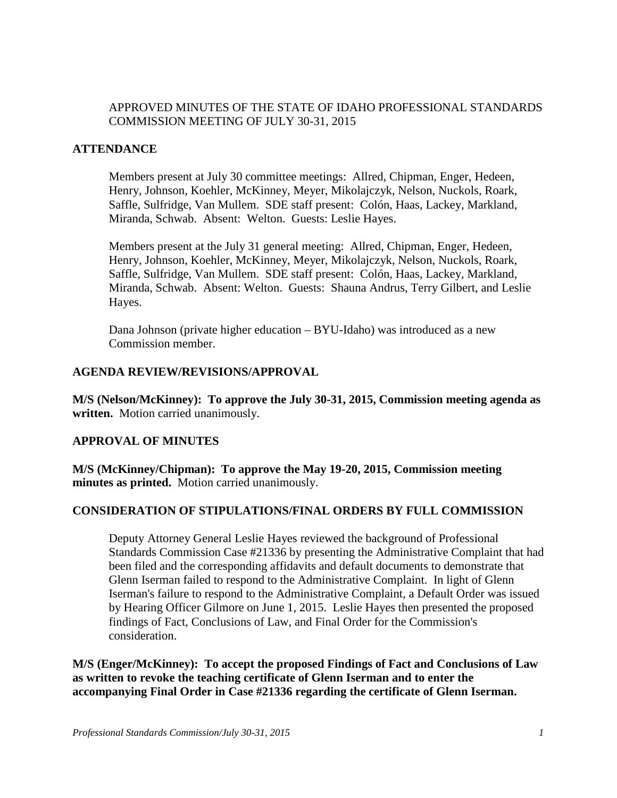# APPROVED MINUTES OF THE STATE OF IDAHO PROFESSIONAL STANDARDS COMMISSION MEETING OF JULY 30-31, 2015

## **ATTENDANCE**

Members present at July 30 committee meetings: Allred, Chipman, Enger, Hedeen, Henry, Johnson, Koehler, McKinney, Meyer, Mikolajczyk, Nelson, Nuckols, Roark, Saffle, Sulfridge, Van Mullem. SDE staff present: Colón, Haas, Lackey, Markland, Miranda, Schwab. Absent: Welton. Guests: Leslie Hayes.

Members present at the July 31 general meeting: Allred, Chipman, Enger, Hedeen, Henry, Johnson, Koehler, McKinney, Meyer, Mikolajczyk, Nelson, Nuckols, Roark, Saffle, Sulfridge, Van Mullem. SDE staff present: Colón, Haas, Lackey, Markland, Miranda, Schwab. Absent: Welton. Guests: Shauna Andrus, Terry Gilbert, and Leslie Hayes.

Dana Johnson (private higher education – BYU-Idaho) was introduced as a new Commission member.

#### **AGENDA REVIEW/REVISIONS/APPROVAL**

**M/S (Nelson/McKinney): To approve the July 30-31, 2015, Commission meeting agenda as written.** Motion carried unanimously.

#### **APPROVAL OF MINUTES**

**M/S (McKinney/Chipman): To approve the May 19-20, 2015, Commission meeting minutes as printed.** Motion carried unanimously.

# **CONSIDERATION OF STIPULATIONS/FINAL ORDERS BY FULL COMMISSION**

Deputy Attorney General Leslie Hayes reviewed the background of Professional Standards Commission Case #21336 by presenting the Administrative Complaint that had been filed and the corresponding affidavits and default documents to demonstrate that Glenn Iserman failed to respond to the Administrative Complaint. In light of Glenn Iserman's failure to respond to the Administrative Complaint, a Default Order was issued by Hearing Officer Gilmore on June 1, 2015. Leslie Hayes then presented the proposed findings of Fact, Conclusions of Law, and Final Order for the Commission's consideration.

**M/S (Enger/McKinney): To accept the proposed Findings of Fact and Conclusions of Law as written to revoke the teaching certificate of Glenn Iserman and to enter the accompanying Final Order in Case #21336 regarding the certificate of Glenn Iserman.**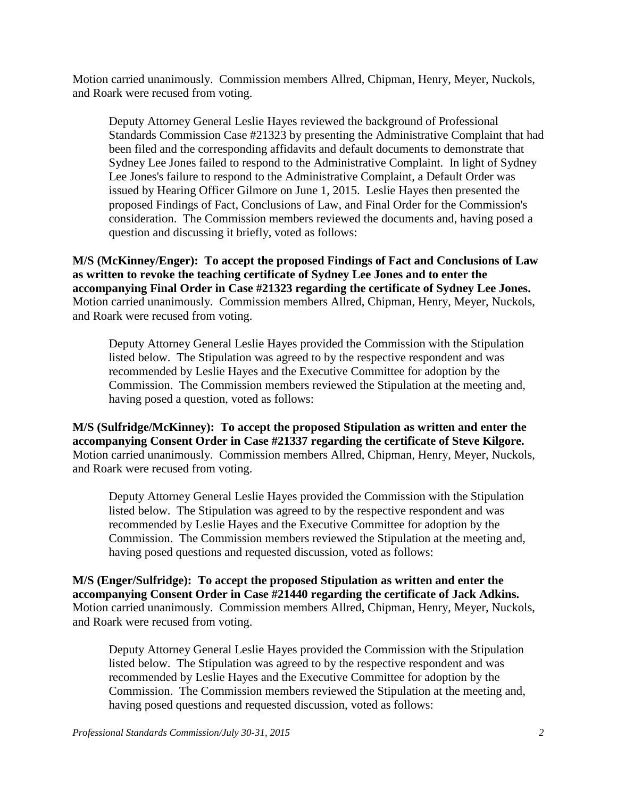Motion carried unanimously. Commission members Allred, Chipman, Henry, Meyer, Nuckols, and Roark were recused from voting.

Deputy Attorney General Leslie Hayes reviewed the background of Professional Standards Commission Case #21323 by presenting the Administrative Complaint that had been filed and the corresponding affidavits and default documents to demonstrate that Sydney Lee Jones failed to respond to the Administrative Complaint. In light of Sydney Lee Jones's failure to respond to the Administrative Complaint, a Default Order was issued by Hearing Officer Gilmore on June 1, 2015. Leslie Hayes then presented the proposed Findings of Fact, Conclusions of Law, and Final Order for the Commission's consideration. The Commission members reviewed the documents and, having posed a question and discussing it briefly, voted as follows:

**M/S (McKinney/Enger): To accept the proposed Findings of Fact and Conclusions of Law as written to revoke the teaching certificate of Sydney Lee Jones and to enter the accompanying Final Order in Case #21323 regarding the certificate of Sydney Lee Jones.**  Motion carried unanimously. Commission members Allred, Chipman, Henry, Meyer, Nuckols, and Roark were recused from voting.

Deputy Attorney General Leslie Hayes provided the Commission with the Stipulation listed below. The Stipulation was agreed to by the respective respondent and was recommended by Leslie Hayes and the Executive Committee for adoption by the Commission. The Commission members reviewed the Stipulation at the meeting and, having posed a question, voted as follows:

**M/S (Sulfridge/McKinney): To accept the proposed Stipulation as written and enter the accompanying Consent Order in Case #21337 regarding the certificate of Steve Kilgore.**  Motion carried unanimously. Commission members Allred, Chipman, Henry, Meyer, Nuckols, and Roark were recused from voting.

Deputy Attorney General Leslie Hayes provided the Commission with the Stipulation listed below. The Stipulation was agreed to by the respective respondent and was recommended by Leslie Hayes and the Executive Committee for adoption by the Commission. The Commission members reviewed the Stipulation at the meeting and, having posed questions and requested discussion, voted as follows:

**M/S (Enger/Sulfridge): To accept the proposed Stipulation as written and enter the accompanying Consent Order in Case #21440 regarding the certificate of Jack Adkins.**  Motion carried unanimously. Commission members Allred, Chipman, Henry, Meyer, Nuckols, and Roark were recused from voting.

Deputy Attorney General Leslie Hayes provided the Commission with the Stipulation listed below. The Stipulation was agreed to by the respective respondent and was recommended by Leslie Hayes and the Executive Committee for adoption by the Commission. The Commission members reviewed the Stipulation at the meeting and, having posed questions and requested discussion, voted as follows: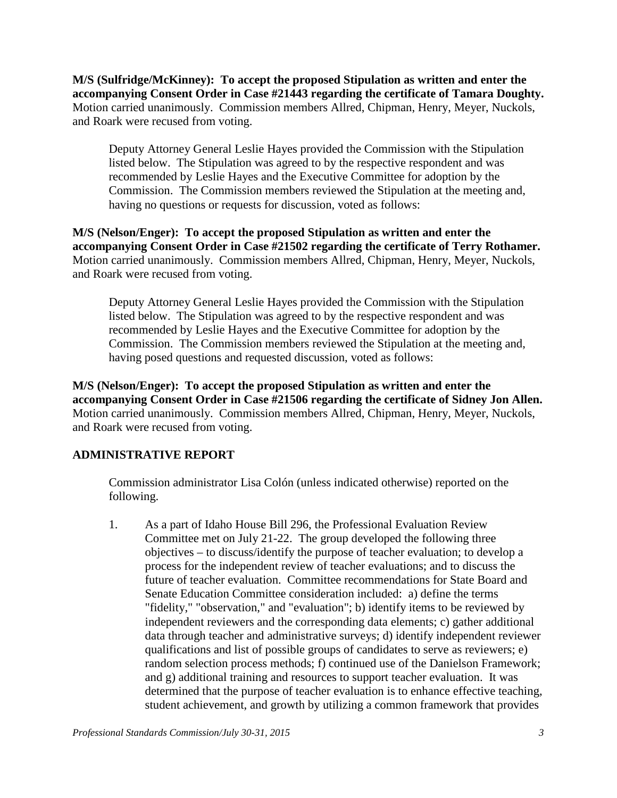**M/S (Sulfridge/McKinney): To accept the proposed Stipulation as written and enter the accompanying Consent Order in Case #21443 regarding the certificate of Tamara Doughty.**  Motion carried unanimously. Commission members Allred, Chipman, Henry, Meyer, Nuckols, and Roark were recused from voting.

Deputy Attorney General Leslie Hayes provided the Commission with the Stipulation listed below. The Stipulation was agreed to by the respective respondent and was recommended by Leslie Hayes and the Executive Committee for adoption by the Commission. The Commission members reviewed the Stipulation at the meeting and, having no questions or requests for discussion, voted as follows:

**M/S (Nelson/Enger): To accept the proposed Stipulation as written and enter the accompanying Consent Order in Case #21502 regarding the certificate of Terry Rothamer.**  Motion carried unanimously. Commission members Allred, Chipman, Henry, Meyer, Nuckols, and Roark were recused from voting.

Deputy Attorney General Leslie Hayes provided the Commission with the Stipulation listed below. The Stipulation was agreed to by the respective respondent and was recommended by Leslie Hayes and the Executive Committee for adoption by the Commission. The Commission members reviewed the Stipulation at the meeting and, having posed questions and requested discussion, voted as follows:

**M/S (Nelson/Enger): To accept the proposed Stipulation as written and enter the accompanying Consent Order in Case #21506 regarding the certificate of Sidney Jon Allen.**  Motion carried unanimously. Commission members Allred, Chipman, Henry, Meyer, Nuckols, and Roark were recused from voting.

# **ADMINISTRATIVE REPORT**

Commission administrator Lisa Colón (unless indicated otherwise) reported on the following.

1. As a part of Idaho House Bill 296, the Professional Evaluation Review Committee met on July 21-22. The group developed the following three objectives – to discuss/identify the purpose of teacher evaluation; to develop a process for the independent review of teacher evaluations; and to discuss the future of teacher evaluation. Committee recommendations for State Board and Senate Education Committee consideration included: a) define the terms "fidelity," "observation," and "evaluation"; b) identify items to be reviewed by independent reviewers and the corresponding data elements; c) gather additional data through teacher and administrative surveys; d) identify independent reviewer qualifications and list of possible groups of candidates to serve as reviewers; e) random selection process methods; f) continued use of the Danielson Framework; and g) additional training and resources to support teacher evaluation. It was determined that the purpose of teacher evaluation is to enhance effective teaching, student achievement, and growth by utilizing a common framework that provides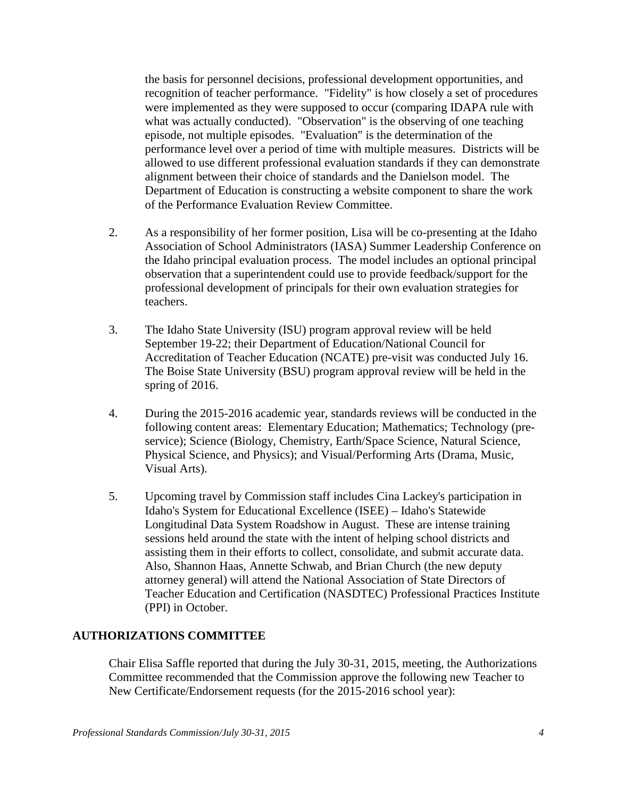the basis for personnel decisions, professional development opportunities, and recognition of teacher performance. "Fidelity" is how closely a set of procedures were implemented as they were supposed to occur (comparing IDAPA rule with what was actually conducted). "Observation" is the observing of one teaching episode, not multiple episodes. "Evaluation" is the determination of the performance level over a period of time with multiple measures. Districts will be allowed to use different professional evaluation standards if they can demonstrate alignment between their choice of standards and the Danielson model. The Department of Education is constructing a website component to share the work of the Performance Evaluation Review Committee.

- 2. As a responsibility of her former position, Lisa will be co-presenting at the Idaho Association of School Administrators (IASA) Summer Leadership Conference on the Idaho principal evaluation process. The model includes an optional principal observation that a superintendent could use to provide feedback/support for the professional development of principals for their own evaluation strategies for teachers.
- 3. The Idaho State University (ISU) program approval review will be held September 19-22; their Department of Education/National Council for Accreditation of Teacher Education (NCATE) pre-visit was conducted July 16. The Boise State University (BSU) program approval review will be held in the spring of 2016.
- 4. During the 2015-2016 academic year, standards reviews will be conducted in the following content areas: Elementary Education; Mathematics; Technology (preservice); Science (Biology, Chemistry, Earth/Space Science, Natural Science, Physical Science, and Physics); and Visual/Performing Arts (Drama, Music, Visual Arts).
- 5. Upcoming travel by Commission staff includes Cina Lackey's participation in Idaho's System for Educational Excellence (ISEE) – Idaho's Statewide Longitudinal Data System Roadshow in August. These are intense training sessions held around the state with the intent of helping school districts and assisting them in their efforts to collect, consolidate, and submit accurate data. Also, Shannon Haas, Annette Schwab, and Brian Church (the new deputy attorney general) will attend the National Association of State Directors of Teacher Education and Certification (NASDTEC) Professional Practices Institute (PPI) in October.

#### **AUTHORIZATIONS COMMITTEE**

Chair Elisa Saffle reported that during the July 30-31, 2015, meeting, the Authorizations Committee recommended that the Commission approve the following new Teacher to New Certificate/Endorsement requests (for the 2015-2016 school year):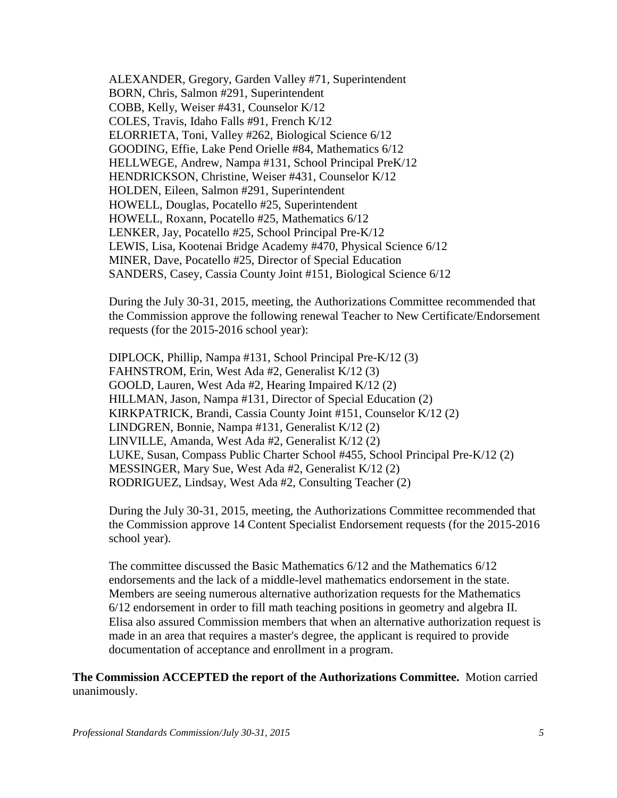ALEXANDER, Gregory, Garden Valley #71, Superintendent BORN, Chris, Salmon #291, Superintendent COBB, Kelly, Weiser #431, Counselor K/12 COLES, Travis, Idaho Falls #91, French K/12 ELORRIETA, Toni, Valley #262, Biological Science 6/12 GOODING, Effie, Lake Pend Orielle #84, Mathematics 6/12 HELLWEGE, Andrew, Nampa #131, School Principal PreK/12 HENDRICKSON, Christine, Weiser #431, Counselor K/12 HOLDEN, Eileen, Salmon #291, Superintendent HOWELL, Douglas, Pocatello #25, Superintendent HOWELL, Roxann, Pocatello #25, Mathematics 6/12 LENKER, Jay, Pocatello #25, School Principal Pre-K/12 LEWIS, Lisa, Kootenai Bridge Academy #470, Physical Science 6/12 MINER, Dave, Pocatello #25, Director of Special Education SANDERS, Casey, Cassia County Joint #151, Biological Science 6/12

During the July 30-31, 2015, meeting, the Authorizations Committee recommended that the Commission approve the following renewal Teacher to New Certificate/Endorsement requests (for the 2015-2016 school year):

DIPLOCK, Phillip, Nampa #131, School Principal Pre-K/12 (3) FAHNSTROM, Erin, West Ada #2, Generalist K/12 (3) GOOLD, Lauren, West Ada #2, Hearing Impaired K/12 (2) HILLMAN, Jason, Nampa #131, Director of Special Education (2) KIRKPATRICK, Brandi, Cassia County Joint #151, Counselor K/12 (2) LINDGREN, Bonnie, Nampa #131, Generalist K/12 (2) LINVILLE, Amanda, West Ada #2, Generalist K/12 (2) LUKE, Susan, Compass Public Charter School #455, School Principal Pre-K/12 (2) MESSINGER, Mary Sue, West Ada #2, Generalist K/12 (2) RODRIGUEZ, Lindsay, West Ada #2, Consulting Teacher (2)

During the July 30-31, 2015, meeting, the Authorizations Committee recommended that the Commission approve 14 Content Specialist Endorsement requests (for the 2015-2016 school year).

The committee discussed the Basic Mathematics 6/12 and the Mathematics 6/12 endorsements and the lack of a middle-level mathematics endorsement in the state. Members are seeing numerous alternative authorization requests for the Mathematics 6/12 endorsement in order to fill math teaching positions in geometry and algebra II. Elisa also assured Commission members that when an alternative authorization request is made in an area that requires a master's degree, the applicant is required to provide documentation of acceptance and enrollment in a program.

**The Commission ACCEPTED the report of the Authorizations Committee.** Motion carried unanimously.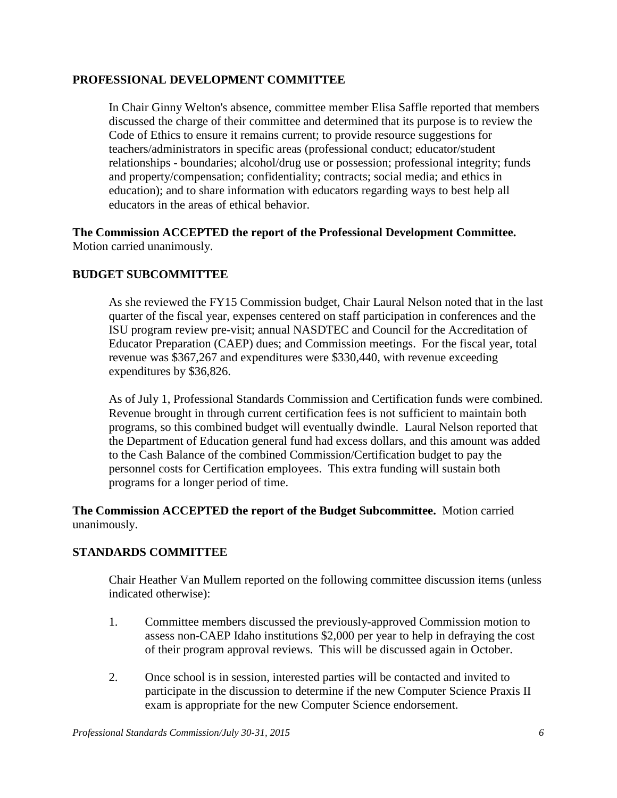## **PROFESSIONAL DEVELOPMENT COMMITTEE**

In Chair Ginny Welton's absence, committee member Elisa Saffle reported that members discussed the charge of their committee and determined that its purpose is to review the Code of Ethics to ensure it remains current; to provide resource suggestions for teachers/administrators in specific areas (professional conduct; educator/student relationships - boundaries; alcohol/drug use or possession; professional integrity; funds and property/compensation; confidentiality; contracts; social media; and ethics in education); and to share information with educators regarding ways to best help all educators in the areas of ethical behavior.

## **The Commission ACCEPTED the report of the Professional Development Committee.**  Motion carried unanimously.

# **BUDGET SUBCOMMITTEE**

As she reviewed the FY15 Commission budget, Chair Laural Nelson noted that in the last quarter of the fiscal year, expenses centered on staff participation in conferences and the ISU program review pre-visit; annual NASDTEC and Council for the Accreditation of Educator Preparation (CAEP) dues; and Commission meetings. For the fiscal year, total revenue was \$367,267 and expenditures were \$330,440, with revenue exceeding expenditures by \$36,826.

As of July 1, Professional Standards Commission and Certification funds were combined. Revenue brought in through current certification fees is not sufficient to maintain both programs, so this combined budget will eventually dwindle. Laural Nelson reported that the Department of Education general fund had excess dollars, and this amount was added to the Cash Balance of the combined Commission/Certification budget to pay the personnel costs for Certification employees. This extra funding will sustain both programs for a longer period of time.

## **The Commission ACCEPTED the report of the Budget Subcommittee.** Motion carried unanimously.

# **STANDARDS COMMITTEE**

Chair Heather Van Mullem reported on the following committee discussion items (unless indicated otherwise):

- 1. Committee members discussed the previously-approved Commission motion to assess non-CAEP Idaho institutions \$2,000 per year to help in defraying the cost of their program approval reviews. This will be discussed again in October.
- 2. Once school is in session, interested parties will be contacted and invited to participate in the discussion to determine if the new Computer Science Praxis II exam is appropriate for the new Computer Science endorsement.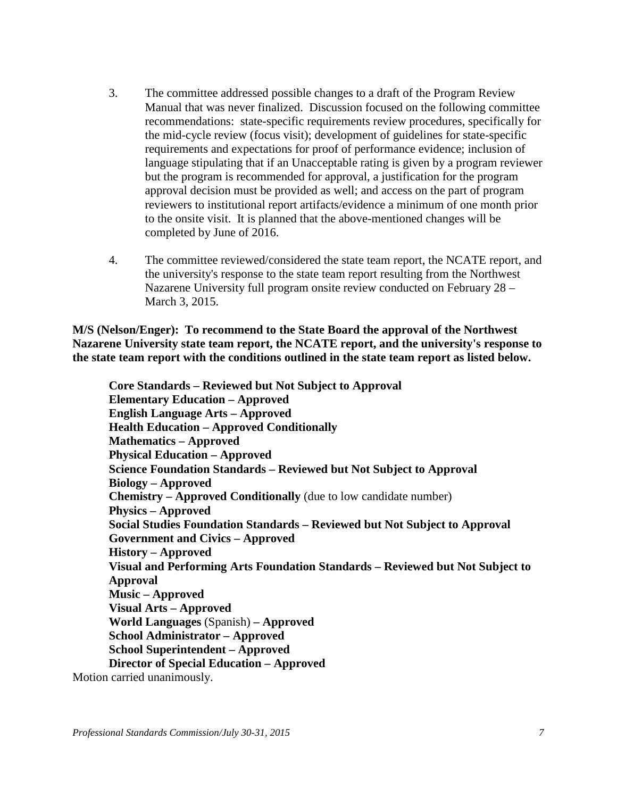- 3. The committee addressed possible changes to a draft of the Program Review Manual that was never finalized. Discussion focused on the following committee recommendations: state-specific requirements review procedures, specifically for the mid-cycle review (focus visit); development of guidelines for state-specific requirements and expectations for proof of performance evidence; inclusion of language stipulating that if an Unacceptable rating is given by a program reviewer but the program is recommended for approval, a justification for the program approval decision must be provided as well; and access on the part of program reviewers to institutional report artifacts/evidence a minimum of one month prior to the onsite visit. It is planned that the above-mentioned changes will be completed by June of 2016.
- 4. The committee reviewed/considered the state team report, the NCATE report, and the university's response to the state team report resulting from the Northwest Nazarene University full program onsite review conducted on February 28 – March 3, 2015.

**M/S (Nelson/Enger): To recommend to the State Board the approval of the Northwest Nazarene University state team report, the NCATE report, and the university's response to the state team report with the conditions outlined in the state team report as listed below.**

**Core Standards – Reviewed but Not Subject to Approval Elementary Education – Approved English Language Arts – Approved Health Education – Approved Conditionally Mathematics – Approved Physical Education – Approved Science Foundation Standards – Reviewed but Not Subject to Approval Biology – Approved Chemistry – Approved Conditionally** (due to low candidate number) **Physics – Approved Social Studies Foundation Standards – Reviewed but Not Subject to Approval Government and Civics – Approved History – Approved Visual and Performing Arts Foundation Standards – Reviewed but Not Subject to Approval Music – Approved Visual Arts – Approved World Languages** (Spanish) **– Approved School Administrator – Approved School Superintendent – Approved Director of Special Education – Approved** Motion carried unanimously.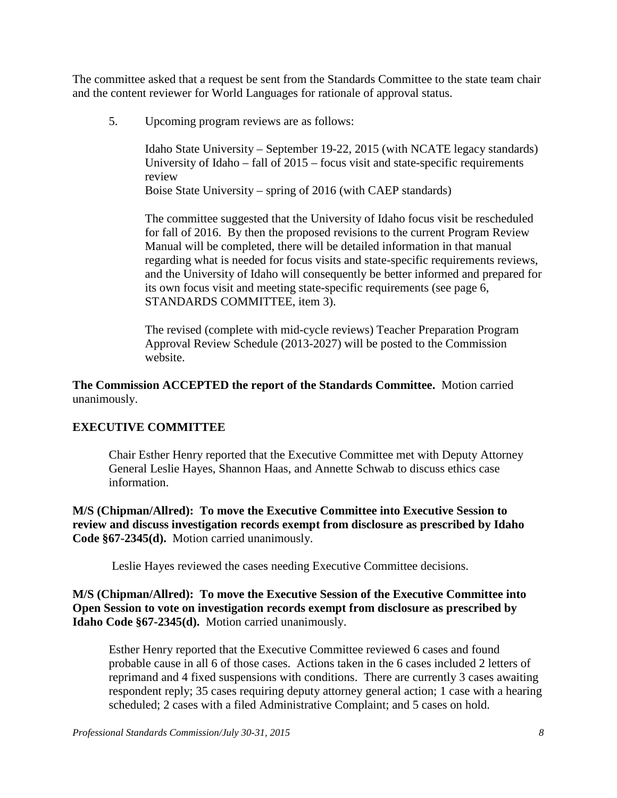The committee asked that a request be sent from the Standards Committee to the state team chair and the content reviewer for World Languages for rationale of approval status.

5. Upcoming program reviews are as follows:

Idaho State University – September 19-22, 2015 (with NCATE legacy standards) University of Idaho – fall of 2015 – focus visit and state-specific requirements review

Boise State University – spring of 2016 (with CAEP standards)

The committee suggested that the University of Idaho focus visit be rescheduled for fall of 2016. By then the proposed revisions to the current Program Review Manual will be completed, there will be detailed information in that manual regarding what is needed for focus visits and state-specific requirements reviews, and the University of Idaho will consequently be better informed and prepared for its own focus visit and meeting state-specific requirements (see page 6, STANDARDS COMMITTEE, item 3).

The revised (complete with mid-cycle reviews) Teacher Preparation Program Approval Review Schedule (2013-2027) will be posted to the Commission website.

**The Commission ACCEPTED the report of the Standards Committee.** Motion carried unanimously.

# **EXECUTIVE COMMITTEE**

Chair Esther Henry reported that the Executive Committee met with Deputy Attorney General Leslie Hayes, Shannon Haas, and Annette Schwab to discuss ethics case information.

**M/S (Chipman/Allred): To move the Executive Committee into Executive Session to review and discuss investigation records exempt from disclosure as prescribed by Idaho Code §67-2345(d).** Motion carried unanimously.

Leslie Hayes reviewed the cases needing Executive Committee decisions.

**M/S (Chipman/Allred): To move the Executive Session of the Executive Committee into Open Session to vote on investigation records exempt from disclosure as prescribed by Idaho Code §67-2345(d).** Motion carried unanimously.

Esther Henry reported that the Executive Committee reviewed 6 cases and found probable cause in all 6 of those cases. Actions taken in the 6 cases included 2 letters of reprimand and 4 fixed suspensions with conditions. There are currently 3 cases awaiting respondent reply; 35 cases requiring deputy attorney general action; 1 case with a hearing scheduled; 2 cases with a filed Administrative Complaint; and 5 cases on hold.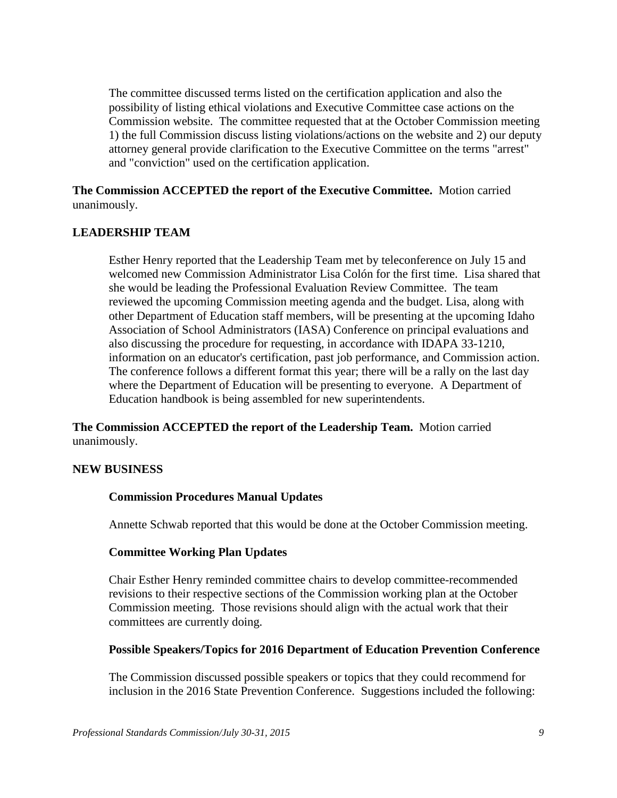The committee discussed terms listed on the certification application and also the possibility of listing ethical violations and Executive Committee case actions on the Commission website. The committee requested that at the October Commission meeting 1) the full Commission discuss listing violations/actions on the website and 2) our deputy attorney general provide clarification to the Executive Committee on the terms "arrest" and "conviction" used on the certification application.

**The Commission ACCEPTED the report of the Executive Committee.** Motion carried unanimously.

#### **LEADERSHIP TEAM**

Esther Henry reported that the Leadership Team met by teleconference on July 15 and welcomed new Commission Administrator Lisa Colón for the first time. Lisa shared that she would be leading the Professional Evaluation Review Committee. The team reviewed the upcoming Commission meeting agenda and the budget. Lisa, along with other Department of Education staff members, will be presenting at the upcoming Idaho Association of School Administrators (IASA) Conference on principal evaluations and also discussing the procedure for requesting, in accordance with IDAPA 33-1210, information on an educator's certification, past job performance, and Commission action. The conference follows a different format this year; there will be a rally on the last day where the Department of Education will be presenting to everyone. A Department of Education handbook is being assembled for new superintendents.

**The Commission ACCEPTED the report of the Leadership Team.** Motion carried unanimously.

#### **NEW BUSINESS**

#### **Commission Procedures Manual Updates**

Annette Schwab reported that this would be done at the October Commission meeting.

#### **Committee Working Plan Updates**

Chair Esther Henry reminded committee chairs to develop committee-recommended revisions to their respective sections of the Commission working plan at the October Commission meeting. Those revisions should align with the actual work that their committees are currently doing.

#### **Possible Speakers/Topics for 2016 Department of Education Prevention Conference**

The Commission discussed possible speakers or topics that they could recommend for inclusion in the 2016 State Prevention Conference. Suggestions included the following: